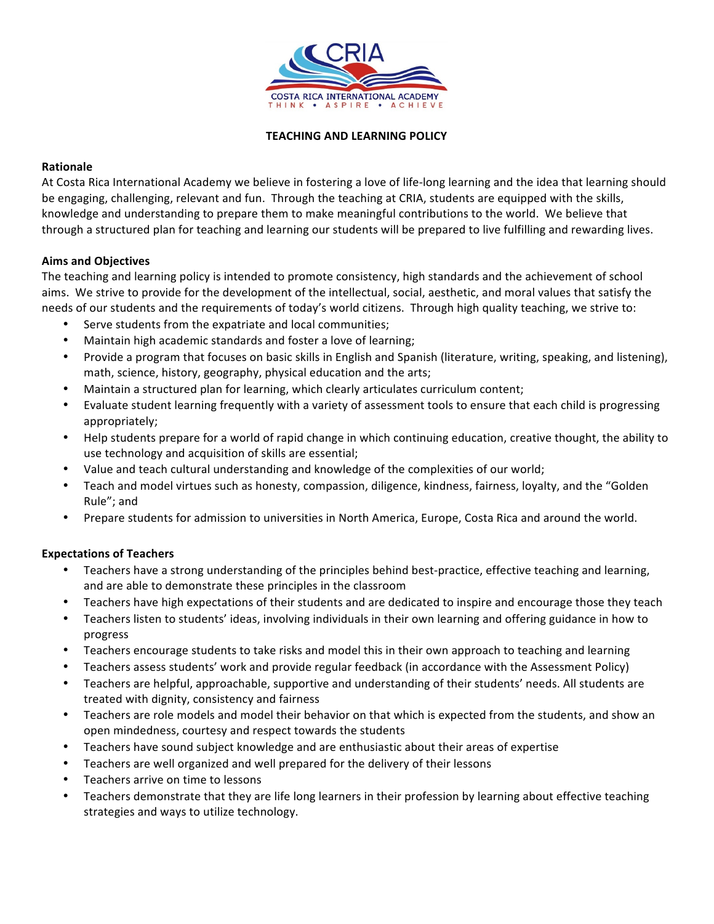

### **TEACHING AND LEARNING POLICY**

## **Rationale**

At Costa Rica International Academy we believe in fostering a love of life-long learning and the idea that learning should be engaging, challenging, relevant and fun. Through the teaching at CRIA, students are equipped with the skills, knowledge and understanding to prepare them to make meaningful contributions to the world. We believe that through a structured plan for teaching and learning our students will be prepared to live fulfilling and rewarding lives.

## **Aims and Objectives**

The teaching and learning policy is intended to promote consistency, high standards and the achievement of school aims. We strive to provide for the development of the intellectual, social, aesthetic, and moral values that satisfy the needs of our students and the requirements of today's world citizens. Through high quality teaching, we strive to:

- Serve students from the expatriate and local communities;
- Maintain high academic standards and foster a love of learning;
- Provide a program that focuses on basic skills in English and Spanish (literature, writing, speaking, and listening), math, science, history, geography, physical education and the arts;
- Maintain a structured plan for learning, which clearly articulates curriculum content;
- Evaluate student learning frequently with a variety of assessment tools to ensure that each child is progressing appropriately;
- Help students prepare for a world of rapid change in which continuing education, creative thought, the ability to use technology and acquisition of skills are essential;
- Value and teach cultural understanding and knowledge of the complexities of our world;
- Teach and model virtues such as honesty, compassion, diligence, kindness, fairness, loyalty, and the "Golden Rule"; and
- Prepare students for admission to universities in North America, Europe, Costa Rica and around the world.

# **Expectations of Teachers**

- Teachers have a strong understanding of the principles behind best-practice, effective teaching and learning, and are able to demonstrate these principles in the classroom
- Teachers have high expectations of their students and are dedicated to inspire and encourage those they teach
- Teachers listen to students' ideas, involving individuals in their own learning and offering guidance in how to progress
- Teachers encourage students to take risks and model this in their own approach to teaching and learning
- Teachers assess students' work and provide regular feedback (in accordance with the Assessment Policy)
- Teachers are helpful, approachable, supportive and understanding of their students' needs. All students are treated with dignity, consistency and fairness
- Teachers are role models and model their behavior on that which is expected from the students, and show an open mindedness, courtesy and respect towards the students
- Teachers have sound subject knowledge and are enthusiastic about their areas of expertise
- Teachers are well organized and well prepared for the delivery of their lessons
- Teachers arrive on time to lessons
- Teachers demonstrate that they are life long learners in their profession by learning about effective teaching strategies and ways to utilize technology.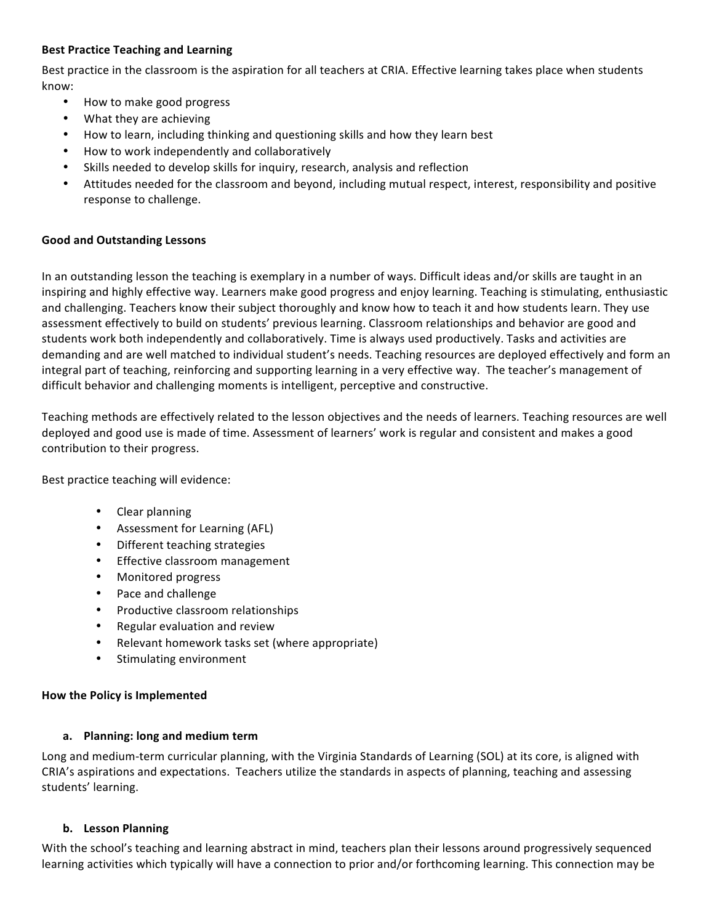## **Best Practice Teaching and Learning**

Best practice in the classroom is the aspiration for all teachers at CRIA. Effective learning takes place when students know:

- How to make good progress
- What they are achieving
- How to learn, including thinking and questioning skills and how they learn best
- How to work independently and collaboratively
- Skills needed to develop skills for inquiry, research, analysis and reflection
- Attitudes needed for the classroom and beyond, including mutual respect, interest, responsibility and positive response to challenge.

### **Good and Outstanding Lessons**

In an outstanding lesson the teaching is exemplary in a number of ways. Difficult ideas and/or skills are taught in an inspiring and highly effective way. Learners make good progress and enjoy learning. Teaching is stimulating, enthusiastic and challenging. Teachers know their subject thoroughly and know how to teach it and how students learn. They use assessment effectively to build on students' previous learning. Classroom relationships and behavior are good and students work both independently and collaboratively. Time is always used productively. Tasks and activities are demanding and are well matched to individual student's needs. Teaching resources are deployed effectively and form an integral part of teaching, reinforcing and supporting learning in a very effective way. The teacher's management of difficult behavior and challenging moments is intelligent, perceptive and constructive.

Teaching methods are effectively related to the lesson objectives and the needs of learners. Teaching resources are well deployed and good use is made of time. Assessment of learners' work is regular and consistent and makes a good contribution to their progress.

Best practice teaching will evidence:

- Clear planning
- Assessment for Learning (AFL)
- Different teaching strategies
- Effective classroom management
- Monitored progress
- Pace and challenge
- Productive classroom relationships
- Regular evaluation and review
- Relevant homework tasks set (where appropriate)
- Stimulating environment

### **How the Policy is Implemented**

### **a. Planning: long and medium term**

Long and medium-term curricular planning, with the Virginia Standards of Learning (SOL) at its core, is aligned with CRIA's aspirations and expectations. Teachers utilize the standards in aspects of planning, teaching and assessing students' learning.

### **b. Lesson Planning**

With the school's teaching and learning abstract in mind, teachers plan their lessons around progressively sequenced learning activities which typically will have a connection to prior and/or forthcoming learning. This connection may be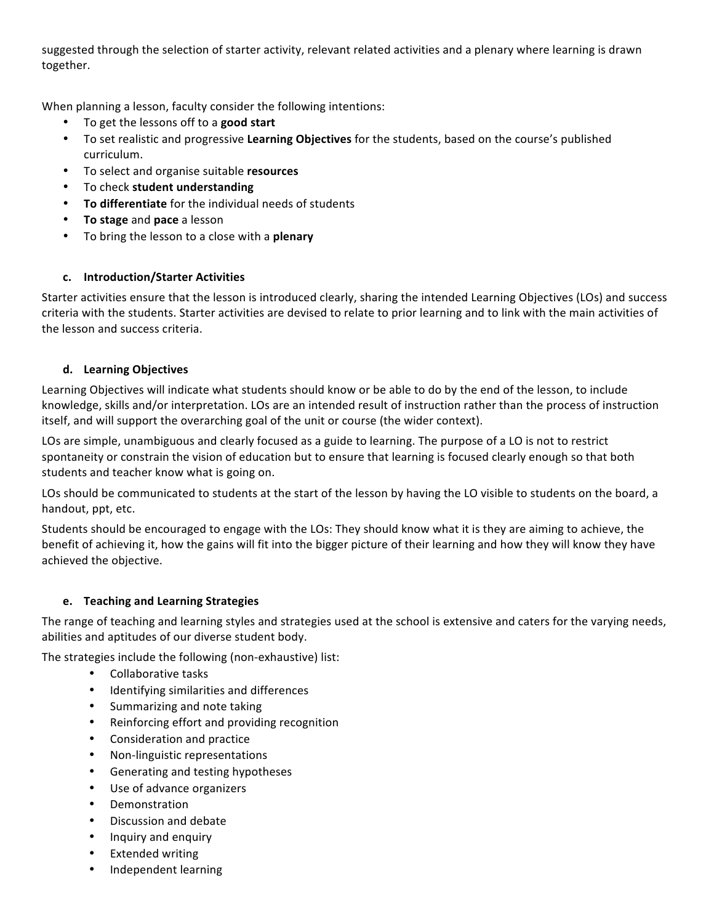suggested through the selection of starter activity, relevant related activities and a plenary where learning is drawn together.

When planning a lesson, faculty consider the following intentions:

- To get the lessons off to a good start
- To set realistic and progressive Learning Objectives for the students, based on the course's published curriculum.
- To select and organise suitable **resources**
- To check **student understanding**
- To differentiate for the individual needs of students
- **To stage** and **pace** a lesson
- To bring the lesson to a close with a **plenary**

## **c. Introduction/Starter Activities**

Starter activities ensure that the lesson is introduced clearly, sharing the intended Learning Objectives (LOs) and success criteria with the students. Starter activities are devised to relate to prior learning and to link with the main activities of the lesson and success criteria.

### **d. Learning Objectives**

Learning Objectives will indicate what students should know or be able to do by the end of the lesson, to include knowledge, skills and/or interpretation. LOs are an intended result of instruction rather than the process of instruction itself, and will support the overarching goal of the unit or course (the wider context).

LOs are simple, unambiguous and clearly focused as a guide to learning. The purpose of a LO is not to restrict spontaneity or constrain the vision of education but to ensure that learning is focused clearly enough so that both students and teacher know what is going on.

LOs should be communicated to students at the start of the lesson by having the LO visible to students on the board, a handout, ppt, etc.

Students should be encouraged to engage with the LOs: They should know what it is they are aiming to achieve, the benefit of achieving it, how the gains will fit into the bigger picture of their learning and how they will know they have achieved the objective.

### **e. Teaching and Learning Strategies**

The range of teaching and learning styles and strategies used at the school is extensive and caters for the varying needs, abilities and aptitudes of our diverse student body.

The strategies include the following (non-exhaustive) list:

- Collaborative tasks
- Identifying similarities and differences
- Summarizing and note taking
- Reinforcing effort and providing recognition
- Consideration and practice
- Non-linguistic representations
- Generating and testing hypotheses
- Use of advance organizers
- Demonstration
- Discussion and debate
- Inquiry and enquiry
- Extended writing
- Independent learning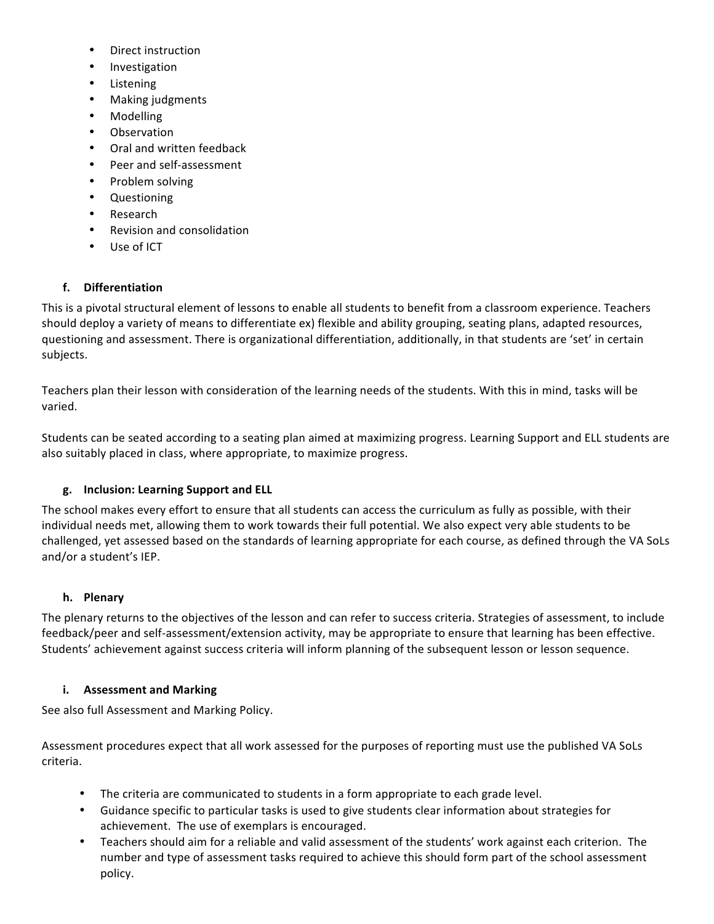- Direct instruction
- Investigation
- Listening
- Making judgments
- Modelling
- Observation
- Oral and written feedback
- Peer and self-assessment
- Problem solving
- Questioning
- **Research**
- Revision and consolidation
- Use of ICT

# **f. Differentiation**

This is a pivotal structural element of lessons to enable all students to benefit from a classroom experience. Teachers should deploy a variety of means to differentiate ex) flexible and ability grouping, seating plans, adapted resources, questioning and assessment. There is organizational differentiation, additionally, in that students are 'set' in certain subjects.

Teachers plan their lesson with consideration of the learning needs of the students. With this in mind, tasks will be varied.

Students can be seated according to a seating plan aimed at maximizing progress. Learning Support and ELL students are also suitably placed in class, where appropriate, to maximize progress.

# **g. Inclusion: Learning Support and ELL**

The school makes every effort to ensure that all students can access the curriculum as fully as possible, with their individual needs met, allowing them to work towards their full potential. We also expect very able students to be challenged, yet assessed based on the standards of learning appropriate for each course, as defined through the VA SoLs and/or a student's IEP.

# **h. Plenary**

The plenary returns to the objectives of the lesson and can refer to success criteria. Strategies of assessment, to include feedback/peer and self-assessment/extension activity, may be appropriate to ensure that learning has been effective. Students' achievement against success criteria will inform planning of the subsequent lesson or lesson sequence.

# **i.** Assessment and Marking

See also full Assessment and Marking Policy.

Assessment procedures expect that all work assessed for the purposes of reporting must use the published VA SoLs criteria. 

- The criteria are communicated to students in a form appropriate to each grade level.
- Guidance specific to particular tasks is used to give students clear information about strategies for achievement. The use of exemplars is encouraged.
- Teachers should aim for a reliable and valid assessment of the students' work against each criterion. The number and type of assessment tasks required to achieve this should form part of the school assessment policy.